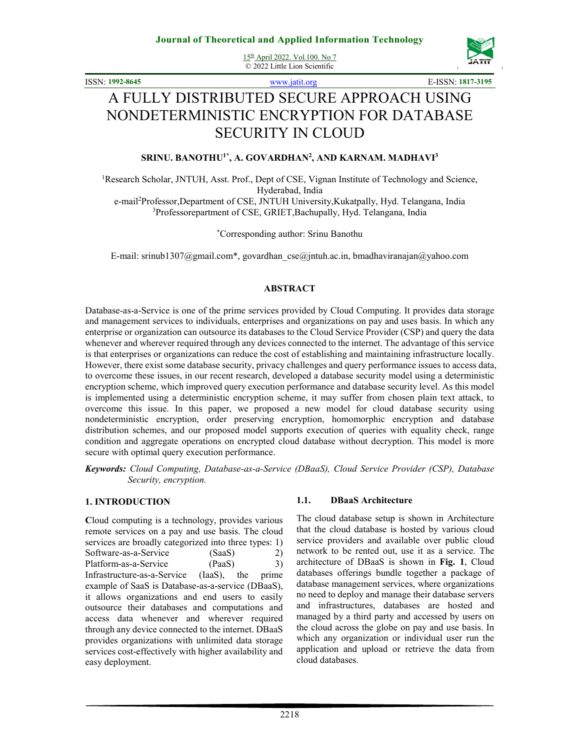15th April 2022. Vol.100. No 7 © 2022 Little Lion Scientific



ISSN: **1992-8645** www.jatit.org E-ISSN: **1817-3195**

# A FULLY DISTRIBUTED SECURE APPROACH USING NONDETERMINISTIC ENCRYPTION FOR DATABASE SECURITY IN CLOUD

#### **SRINU. BANOTHU1\*, A. GOVARDHAN<sup>2</sup> , AND KARNAM. MADHAVI<sup>3</sup>**

<sup>1</sup>Research Scholar, JNTUH, Asst. Prof., Dept of CSE, Vignan Institute of Technology and Science, Hyderabad, India e-mail<sup>2</sup>Professor,Department of CSE, JNTUH University,Kukatpally, Hyd. Telangana, India <sup>3</sup>Professorepartment of CSE, GRIET, Bachupally, Hyd. Telangana, India

\*Corresponding author: Srinu Banothu

E-mail: srinub1307@gmail.com\*, govardhan\_cse@jntuh.ac.in, bmadhaviranajan@yahoo.com

#### **ABSTRACT**

Database-as-a-Service is one of the prime services provided by Cloud Computing. It provides data storage and management services to individuals, enterprises and organizations on pay and uses basis. In which any enterprise or organization can outsource its databases to the Cloud Service Provider (CSP) and query the data whenever and wherever required through any devices connected to the internet. The advantage of this service is that enterprises or organizations can reduce the cost of establishing and maintaining infrastructure locally. However, there exist some database security, privacy challenges and query performance issues to access data, to overcome these issues, in our recent research, developed a database security model using a deterministic encryption scheme, which improved query execution performance and database security level. As this model is implemented using a deterministic encryption scheme, it may suffer from chosen plain text attack, to overcome this issue. In this paper, we proposed a new model for cloud database security using nondeterministic encryption, order preserving encryption, homomorphic encryption and database distribution schemes, and our proposed model supports execution of queries with equality check, range condition and aggregate operations on encrypted cloud database without decryption. This model is more secure with optimal query execution performance.

*Keywords: Cloud Computing, Database-as-a-Service (DBaaS), Cloud Service Provider (CSP), Database Security, encryption.* 

#### **1. INTRODUCTION**

**C**loud computing is a technology, provides various remote services on a pay and use basis. The cloud services are broadly categorized into three types: 1) Software-as-a-Service (SaaS) 2) Platform-as-a-Service (PaaS) 3) Infrastructure-as-a-Service (IaaS), the prime example of SaaS is Database-as-a-service (DBaaS), it allows organizations and end users to easily outsource their databases and computations and access data whenever and wherever required through any device connected to the internet. DBaaS provides organizations with unlimited data storage services cost-effectively with higher availability and easy deployment.

#### **1.1. DBaaS Architecture**

The cloud database setup is shown in Architecture that the cloud database is hosted by various cloud service providers and available over public cloud network to be rented out, use it as a service. The architecture of DBaaS is shown in **Fig. 1**, Cloud databases offerings bundle together a package of database management services, where organizations no need to deploy and manage their database servers and infrastructures, databases are hosted and managed by a third party and accessed by users on the cloud across the globe on pay and use basis. In which any organization or individual user run the application and upload or retrieve the data from cloud databases.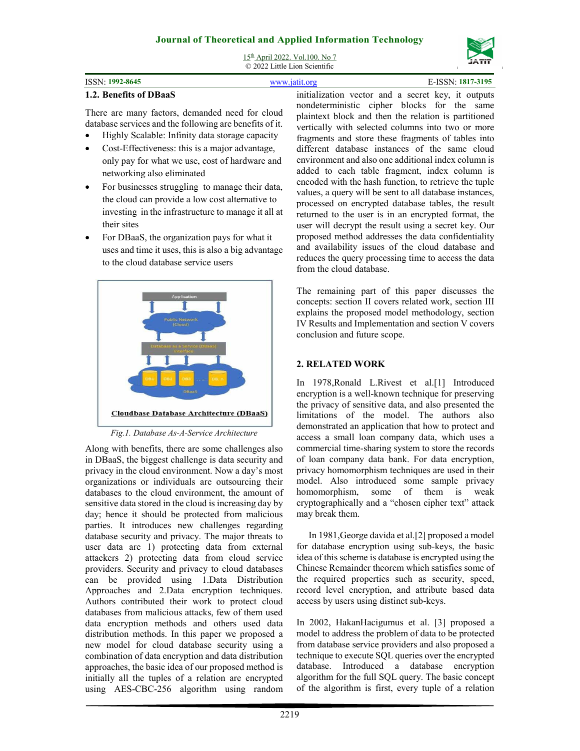15th April 2022. Vol.100. No 7 © 2022 Little Lion Scientific

| <b>ISSN</b><br>1992-8645 | 319F<br>. |
|--------------------------|-----------|
|                          |           |

#### **1.2. Benefits of DBaaS**

There are many factors, demanded need for cloud database services and the following are benefits of it.

- Highly Scalable: Infinity data storage capacity
- Cost-Effectiveness: this is a major advantage, only pay for what we use, cost of hardware and networking also eliminated
- For businesses struggling to manage their data, the cloud can provide a low cost alternative to investing in the infrastructure to manage it all at their sites
- For DBaaS, the organization pays for what it uses and time it uses, this is also a big advantage to the cloud database service users



*Fig.1. Database As-A-Service Architecture* 

Along with benefits, there are some challenges also in DBaaS, the biggest challenge is data security and privacy in the cloud environment. Now a day's most organizations or individuals are outsourcing their databases to the cloud environment, the amount of sensitive data stored in the cloud is increasing day by day; hence it should be protected from malicious parties. It introduces new challenges regarding database security and privacy. The major threats to user data are 1) protecting data from external attackers 2) protecting data from cloud service providers. Security and privacy to cloud databases can be provided using 1.Data Distribution Approaches and 2.Data encryption techniques. Authors contributed their work to protect cloud databases from malicious attacks, few of them used data encryption methods and others used data distribution methods. In this paper we proposed a new model for cloud database security using a combination of data encryption and data distribution approaches, the basic idea of our proposed method is initially all the tuples of a relation are encrypted using AES-CBC-256 algorithm using random

initialization vector and a secret key, it outputs nondeterministic cipher blocks for the same plaintext block and then the relation is partitioned vertically with selected columns into two or more fragments and store these fragments of tables into different database instances of the same cloud environment and also one additional index column is added to each table fragment, index column is encoded with the hash function, to retrieve the tuple values, a query will be sent to all database instances, processed on encrypted database tables, the result returned to the user is in an encrypted format, the user will decrypt the result using a secret key. Our proposed method addresses the data confidentiality and availability issues of the cloud database and reduces the query processing time to access the data from the cloud database.

The remaining part of this paper discusses the concepts: section II covers related work, section III explains the proposed model methodology, section IV Results and Implementation and section V covers conclusion and future scope.

# **2. RELATED WORK**

In 1978,Ronald L.Rivest et al.[1] Introduced encryption is a well-known technique for preserving the privacy of sensitive data, and also presented the limitations of the model. The authors also demonstrated an application that how to protect and access a small loan company data, which uses a commercial time-sharing system to store the records of loan company data bank. For data encryption, privacy homomorphism techniques are used in their model. Also introduced some sample privacy homomorphism, some of them is weak cryptographically and a "chosen cipher text" attack may break them.

In 1981,George davida et al.[2] proposed a model for database encryption using sub-keys, the basic idea of this scheme is database is encrypted using the Chinese Remainder theorem which satisfies some of the required properties such as security, speed, record level encryption, and attribute based data access by users using distinct sub-keys.

In 2002, HakanHacigumus et al. [3] proposed a model to address the problem of data to be protected from database service providers and also proposed a technique to execute SQL queries over the encrypted database. Introduced a database encryption algorithm for the full SQL query. The basic concept of the algorithm is first, every tuple of a relation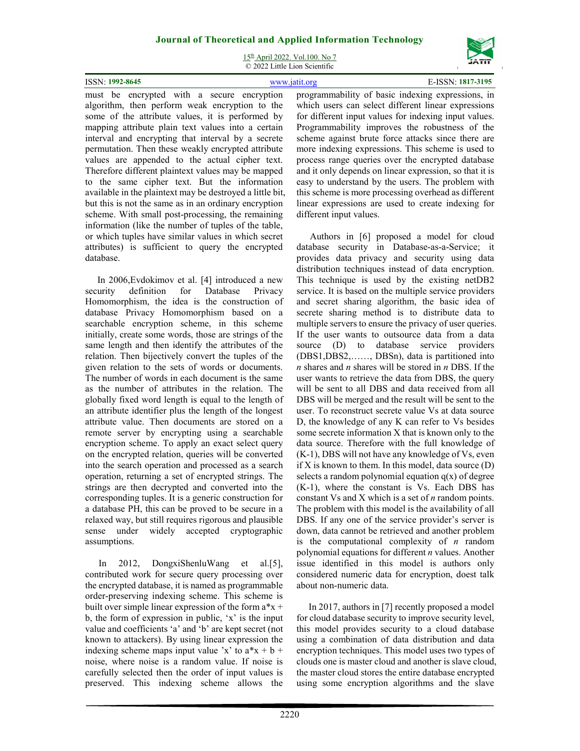15th April 2022. Vol.100. No 7 © 2022 Little Lion Scientific

| ISSN: 1992-8645 |  |  |  | www.jatit.org | E-ISSN: 1817-3195                                                                      |
|-----------------|--|--|--|---------------|----------------------------------------------------------------------------------------|
| must            |  |  |  |               | be encrypted with a secure encryption programmability of basic indexing expressions in |

must be encrypted with a secure encryption algorithm, then perform weak encryption to the some of the attribute values, it is performed by mapping attribute plain text values into a certain interval and encrypting that interval by a secrete permutation. Then these weakly encrypted attribute values are appended to the actual cipher text. Therefore different plaintext values may be mapped to the same cipher text. But the information available in the plaintext may be destroyed a little bit, but this is not the same as in an ordinary encryption scheme. With small post-processing, the remaining information (like the number of tuples of the table, or which tuples have similar values in which secret attributes) is sufficient to query the encrypted database.

In 2006,Evdokimov et al. [4] introduced a new security definition for Database Privacy Homomorphism, the idea is the construction of database Privacy Homomorphism based on a searchable encryption scheme, in this scheme initially, create some words, those are strings of the same length and then identify the attributes of the relation. Then bijectively convert the tuples of the given relation to the sets of words or documents. The number of words in each document is the same as the number of attributes in the relation. The globally fixed word length is equal to the length of an attribute identifier plus the length of the longest attribute value. Then documents are stored on a remote server by encrypting using a searchable encryption scheme. To apply an exact select query on the encrypted relation, queries will be converted into the search operation and processed as a search operation, returning a set of encrypted strings. The strings are then decrypted and converted into the corresponding tuples. It is a generic construction for a database PH, this can be proved to be secure in a relaxed way, but still requires rigorous and plausible sense under widely accepted cryptographic assumptions.

In 2012, DongxiShenluWang et al.[5], contributed work for secure query processing over the encrypted database, it is named as programmable order-preserving indexing scheme. This scheme is built over simple linear expression of the form  $a^*x +$ b, the form of expression in public, 'x' is the input value and coefficients 'a' and 'b' are kept secret (not known to attackers). By using linear expression the indexing scheme maps input value 'x' to  $a*x + b +$ noise, where noise is a random value. If noise is carefully selected then the order of input values is preserved. This indexing scheme allows the programmability of basic indexing expressions, in which users can select different linear expressions for different input values for indexing input values. Programmability improves the robustness of the scheme against brute force attacks since there are more indexing expressions. This scheme is used to process range queries over the encrypted database and it only depends on linear expression, so that it is easy to understand by the users. The problem with this scheme is more processing overhead as different linear expressions are used to create indexing for different input values.

Authors in [6] proposed a model for cloud database security in Database-as-a-Service; it provides data privacy and security using data distribution techniques instead of data encryption. This technique is used by the existing netDB2 service. It is based on the multiple service providers and secret sharing algorithm, the basic idea of secrete sharing method is to distribute data to multiple servers to ensure the privacy of user queries. If the user wants to outsource data from a data source (D) to database service providers (DBS1,DBS2,……, DBSn), data is partitioned into *n* shares and *n* shares will be stored in *n* DBS. If the user wants to retrieve the data from DBS, the query will be sent to all DBS and data received from all DBS will be merged and the result will be sent to the user. To reconstruct secrete value Vs at data source D, the knowledge of any K can refer to Vs besides some secrete information X that is known only to the data source. Therefore with the full knowledge of (K-1), DBS will not have any knowledge of Vs, even if X is known to them. In this model, data source  $(D)$ selects a random polynomial equation  $q(x)$  of degree (K-1), where the constant is Vs. Each DBS has constant Vs and X which is a set of *n* random points. The problem with this model is the availability of all DBS. If any one of the service provider's server is down, data cannot be retrieved and another problem is the computational complexity of *n* random polynomial equations for different *n* values. Another issue identified in this model is authors only considered numeric data for encryption, doest talk about non-numeric data.

In 2017, authors in [7] recently proposed a model for cloud database security to improve security level, this model provides security to a cloud database using a combination of data distribution and data encryption techniques. This model uses two types of clouds one is master cloud and another is slave cloud, the master cloud stores the entire database encrypted using some encryption algorithms and the slave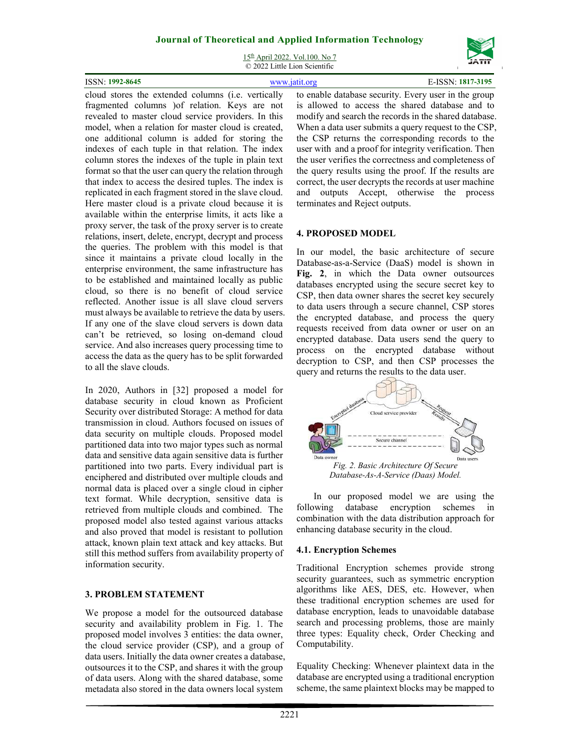15<sup>th</sup> April 2022. Vol.100. No 7 © 2022 Little Lion Scientific

| ISSN: 1992-8645 |                    |   | 1817-3195 |
|-----------------|--------------------|---|-----------|
|                 | .<br>$\sim$ $\sim$ | . |           |

cloud stores the extended columns (i.e. vertically fragmented columns )of relation. Keys are not revealed to master cloud service providers. In this model, when a relation for master cloud is created, one additional column is added for storing the indexes of each tuple in that relation. The index column stores the indexes of the tuple in plain text format so that the user can query the relation through that index to access the desired tuples. The index is replicated in each fragment stored in the slave cloud. Here master cloud is a private cloud because it is available within the enterprise limits, it acts like a proxy server, the task of the proxy server is to create relations, insert, delete, encrypt, decrypt and process the queries. The problem with this model is that since it maintains a private cloud locally in the enterprise environment, the same infrastructure has to be established and maintained locally as public cloud, so there is no benefit of cloud service reflected. Another issue is all slave cloud servers must always be available to retrieve the data by users. If any one of the slave cloud servers is down data can't be retrieved, so losing on-demand cloud service. And also increases query processing time to access the data as the query has to be split forwarded to all the slave clouds.

In 2020, Authors in [32] proposed a model for database security in cloud known as Proficient Security over distributed Storage: A method for data transmission in cloud. Authors focused on issues of data security on multiple clouds. Proposed model partitioned data into two major types such as normal data and sensitive data again sensitive data is further partitioned into two parts. Every individual part is enciphered and distributed over multiple clouds and normal data is placed over a single cloud in cipher text format. While decryption, sensitive data is retrieved from multiple clouds and combined. The proposed model also tested against various attacks and also proved that model is resistant to pollution attack, known plain text attack and key attacks. But still this method suffers from availability property of information security.

### **3. PROBLEM STATEMENT**

We propose a model for the outsourced database security and availability problem in Fig. 1. The proposed model involves 3 entities: the data owner, the cloud service provider (CSP), and a group of data users. Initially the data owner creates a database, outsources it to the CSP, and shares it with the group of data users. Along with the shared database, some metadata also stored in the data owners local system

to enable database security. Every user in the group is allowed to access the shared database and to modify and search the records in the shared database. When a data user submits a query request to the CSP, the CSP returns the corresponding records to the user with and a proof for integrity verification. Then the user verifies the correctness and completeness of the query results using the proof. If the results are correct, the user decrypts the records at user machine and outputs Accept, otherwise the process terminates and Reject outputs.

### **4. PROPOSED MODEL**

In our model, the basic architecture of secure Database-as-a-Service (DaaS) model is shown in **Fig. 2**, in which the Data owner outsources databases encrypted using the secure secret key to CSP, then data owner shares the secret key securely to data users through a secure channel, CSP stores the encrypted database, and process the query requests received from data owner or user on an encrypted database. Data users send the query to process on the encrypted database without decryption to CSP, and then CSP processes the query and returns the results to the data user.



In our proposed model we are using the following database encryption schemes in combination with the data distribution approach for enhancing database security in the cloud.

### **4.1. Encryption Schemes**

Traditional Encryption schemes provide strong security guarantees, such as symmetric encryption algorithms like AES, DES, etc. However, when these traditional encryption schemes are used for database encryption, leads to unavoidable database search and processing problems, those are mainly three types: Equality check, Order Checking and Computability.

Equality Checking: Whenever plaintext data in the database are encrypted using a traditional encryption scheme, the same plaintext blocks may be mapped to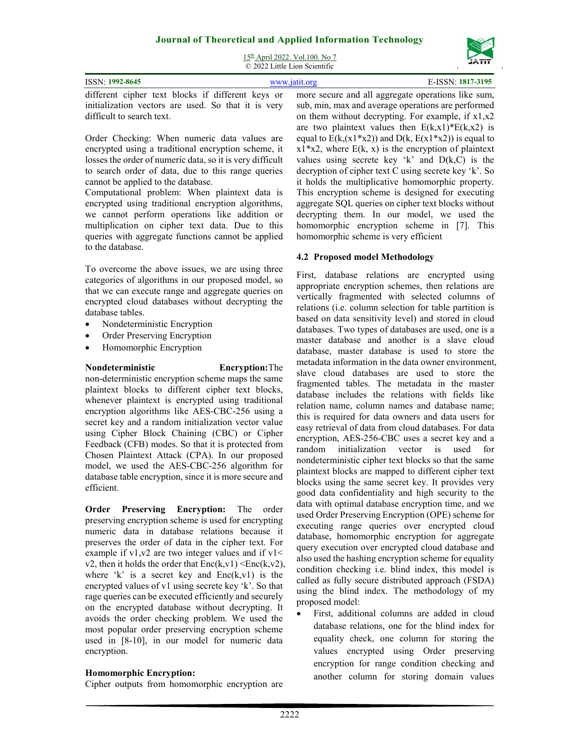15th April 2022. Vol.100. No 7 © 2022 Little Lion Scientific

| ISSN: 1992-8645 | www.jatit.org | E-ISSN: 1817-3195 |                                                                                                      |
|-----------------|---------------|-------------------|------------------------------------------------------------------------------------------------------|
|                 |               |                   | different cipher text blocks if different keys or more secure and all aggregate operations like sum, |

initialization vectors are used. So that it is very difficult to search text.

Order Checking: When numeric data values are encrypted using a traditional encryption scheme, it losses the order of numeric data, so it is very difficult to search order of data, due to this range queries cannot be applied to the database.

Computational problem: When plaintext data is encrypted using traditional encryption algorithms, we cannot perform operations like addition or multiplication on cipher text data. Due to this queries with aggregate functions cannot be applied to the database.

To overcome the above issues, we are using three categories of algorithms in our proposed model, so that we can execute range and aggregate queries on encrypted cloud databases without decrypting the database tables.

- Nondeterministic Encryption
- Order Preserving Encryption
- Homomorphic Encryption

### **Nondeterministic Encryption:**The

non-deterministic encryption scheme maps the same plaintext blocks to different cipher text blocks, whenever plaintext is encrypted using traditional encryption algorithms like AES-CBC-256 using a secret key and a random initialization vector value using Cipher Block Chaining (CBC) or Cipher Feedback (CFB) modes. So that it is protected from Chosen Plaintext Attack (CPA). In our proposed model, we used the AES-CBC-256 algorithm for database table encryption, since it is more secure and efficient.

**Order Preserving Encryption:** The order preserving encryption scheme is used for encrypting numeric data in database relations because it preserves the order of data in the cipher text. For example if  $v1,v2$  are two integer values and if  $v1 <$ v2, then it holds the order that  $Enc(k, v1) \leq Enc(k, v2)$ , where 'k' is a secret key and  $Enc(k, v1)$  is the encrypted values of v1 using secrete key 'k'. So that rage queries can be executed efficiently and securely on the encrypted database without decrypting. It avoids the order checking problem. We used the most popular order preserving encryption scheme used in [8-10], in our model for numeric data encryption.

# **Homomorphic Encryption:**

Cipher outputs from homomorphic encryption are

sub, min, max and average operations are performed on them without decrypting. For example, if x1,x2 are two plaintext values then  $E(k,x1) * E(k,x2)$  is equal to  $E(k,(x1*x2))$  and  $D(k, E(x1*x2))$  is equal to  $x1 \cdot x2$ , where E(k, x) is the encryption of plaintext values using secrete key 'k' and  $D(k,C)$  is the decryption of cipher text C using secrete key 'k'. So it holds the multiplicative homomorphic property. This encryption scheme is designed for executing aggregate SQL queries on cipher text blocks without decrypting them. In our model, we used the homomorphic encryption scheme in [7]. This homomorphic scheme is very efficient

# **4.2 Proposed model Methodology**

First, database relations are encrypted using appropriate encryption schemes, then relations are vertically fragmented with selected columns of relations (i.e. column selection for table partition is based on data sensitivity level) and stored in cloud databases. Two types of databases are used, one is a master database and another is a slave cloud database, master database is used to store the metadata information in the data owner environment, slave cloud databases are used to store the fragmented tables. The metadata in the master database includes the relations with fields like relation name, column names and database name; this is required for data owners and data users for easy retrieval of data from cloud databases. For data encryption, AES-256-CBC uses a secret key and a random initialization vector is used for nondeterministic cipher text blocks so that the same plaintext blocks are mapped to different cipher text blocks using the same secret key. It provides very good data confidentiality and high security to the data with optimal database encryption time, and we used Order Preserving Encryption (OPE) scheme for executing range queries over encrypted cloud database, homomorphic encryption for aggregate query execution over encrypted cloud database and also used the hashing encryption scheme for equality condition checking i.e. blind index, this model is called as fully secure distributed approach (FSDA) using the blind index. The methodology of my proposed model:

 First, additional columns are added in cloud database relations, one for the blind index for equality check, one column for storing the values encrypted using Order preserving encryption for range condition checking and another column for storing domain values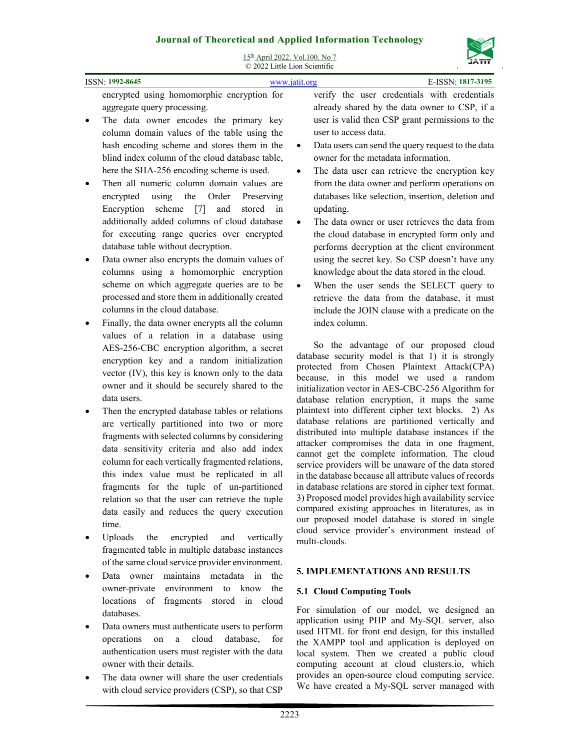

| эоигнагог гисогенсагани дррней ниогшанон теспиоюзу<br>15th April 2022. Vol.100. No 7                                                                                                                                                                                                                                                                                                                                                                                                                            |                                                                                                                                                                                                                                                                                                                                                                                                                                                                                                                                                                                                                                                                      |  |  |  |
|-----------------------------------------------------------------------------------------------------------------------------------------------------------------------------------------------------------------------------------------------------------------------------------------------------------------------------------------------------------------------------------------------------------------------------------------------------------------------------------------------------------------|----------------------------------------------------------------------------------------------------------------------------------------------------------------------------------------------------------------------------------------------------------------------------------------------------------------------------------------------------------------------------------------------------------------------------------------------------------------------------------------------------------------------------------------------------------------------------------------------------------------------------------------------------------------------|--|--|--|
| C 2022 Little Lion Scientific<br>E-ISSN: 1817-3195<br>ISSN: 1992-8645<br>www.jatit.org                                                                                                                                                                                                                                                                                                                                                                                                                          |                                                                                                                                                                                                                                                                                                                                                                                                                                                                                                                                                                                                                                                                      |  |  |  |
| encrypted using homomorphic encryption for<br>aggregate query processing.<br>The data owner encodes the primary key<br>column domain values of the table using the<br>hash encoding scheme and stores them in the<br>blind index column of the cloud database table,<br>here the SHA-256 encoding scheme is used.<br>Then all numeric column domain values are                                                                                                                                                  | verify the user credentials with credentials<br>already shared by the data owner to CSP, if a<br>user is valid then CSP grant permissions to the<br>user to access data.<br>Data users can send the query request to the data<br>$\bullet$<br>owner for the metadata information.<br>The data user can retrieve the encryption key<br>$\bullet$                                                                                                                                                                                                                                                                                                                      |  |  |  |
| the<br>Order<br>encrypted<br>using<br>Preserving<br>Encryption scheme [7]<br>and<br>stored<br>in<br>additionally added columns of cloud database<br>for executing range queries over encrypted<br>database table without decryption.                                                                                                                                                                                                                                                                            | from the data owner and perform operations on<br>databases like selection, insertion, deletion and<br>updating.<br>The data owner or user retrieves the data from<br>the cloud database in encrypted form only and<br>performs decryption at the client environment                                                                                                                                                                                                                                                                                                                                                                                                  |  |  |  |
| Data owner also encrypts the domain values of<br>columns using a homomorphic encryption<br>scheme on which aggregate queries are to be<br>processed and store them in additionally created<br>columns in the cloud database.                                                                                                                                                                                                                                                                                    | using the secret key. So CSP doesn't have any<br>knowledge about the data stored in the cloud.<br>When the user sends the SELECT query to<br>retrieve the data from the database, it must<br>include the JOIN clause with a predicate on the<br>index column.                                                                                                                                                                                                                                                                                                                                                                                                        |  |  |  |
| Finally, the data owner encrypts all the column<br>values of a relation in a database using<br>AES-256-CBC encryption algorithm, a secret<br>encryption key and a random initialization<br>vector (IV), this key is known only to the data<br>owner and it should be securely shared to the<br>data users.                                                                                                                                                                                                      | So the advantage of our proposed cloud<br>database security model is that 1) it is strongly<br>protected from Chosen Plaintext Attack(CPA)<br>because, in this model we used a random<br>initialization vector in AES-CBC-256 Algorithm for<br>database relation encryption, it maps the same                                                                                                                                                                                                                                                                                                                                                                        |  |  |  |
| Then the encrypted database tables or relations<br>are vertically partitioned into two or more<br>fragments with selected columns by considering<br>data sensitivity criteria and also add index<br>column for each vertically fragmented relations,<br>this index value must be replicated in all<br>fragments for the tuple of un-partitioned<br>relation so that the user can retrieve the tuple<br>data easily and reduces the query execution<br>time.<br>Uploads<br>the<br>encrypted<br>and<br>vertically | plaintext into different cipher text blocks. 2) As<br>database relations are partitioned vertically and<br>distributed into multiple database instances if the<br>attacker compromises the data in one fragment,<br>cannot get the complete information. The cloud<br>service providers will be unaware of the data stored<br>in the database because all attribute values of records<br>in database relations are stored in cipher text format.<br>3) Proposed model provides high availability service<br>compared existing approaches in literatures, as in<br>our proposed model database is stored in single<br>cloud service provider's environment instead of |  |  |  |
| fragmented table in multiple database instances<br>of the same cloud service provider environment.<br>Doto owner mointains metodoto in the                                                                                                                                                                                                                                                                                                                                                                      | multi-clouds.<br>5. IMPLEMENTATIONS AND RESULTS                                                                                                                                                                                                                                                                                                                                                                                                                                                                                                                                                                                                                      |  |  |  |

- Data owner maintains metadata in the owner-private environment to know the locations of fragments stored in cloud databases.
- Data owners must authenticate users to perform operations on a cloud database, for authentication users must register with the data owner with their details.
- The data owner will share the user credentials with cloud service providers (CSP), so that CSP

**5.1 Cloud Computing Tools** 

For simulation of our model, we designed an application using PHP and My-SQL server, also used HTML for front end design, for this installed the XAMPP tool and application is deployed on local system. Then we created a public cloud computing account at cloud clusters.io, which provides an open-source cloud computing service. We have created a My-SQL server managed with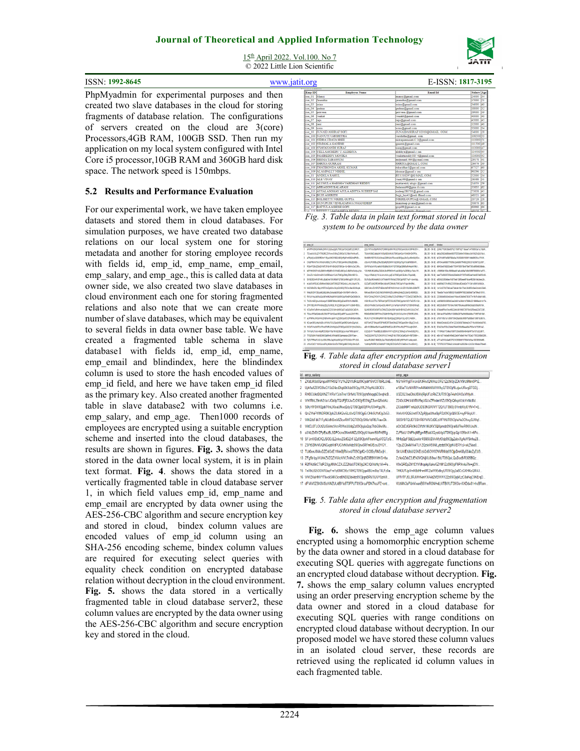15th April 2022. Vol.100. No 7 © 2022 Little Lion Scientific



#### **5.2 Results and Performance Evaluation**

For our experimental work, we have taken employee datasets and stored them in cloud databases. For simulation purposes, we have created two database relations on our local system one for storing metadata and another for storing employee records with fields id, emp id, emp name, emp email, emp\_salary, and emp\_age., this is called data at data owner side, we also created two slave databases in cloud environment each one for storing fragmented relations and also note that we can create more number of slave databases, which may be equivalent to several fields in data owner base table. We have created a fragmented table schema in slave database1 with fields id, emp id, emp name, emp\_email and blindindex, here the blindindex column is used to store the hash encoded values of emp\_id field, and here we have taken emp\_id filed as the primary key. Also created another fragmented table in slave database2 with two columns i.e. emp\_salary, and emp\_age. Then1000 records of employees are encrypted using a suitable encryption scheme and inserted into the cloud databases, the results are shown in figures. **Fig. 3.** shows the data stored in the data owner local system, it is in plain text format. **Fig. 4**. shows the data stored in a vertically fragmented table in cloud database server 1, in which field values emp\_id, emp\_name and emp\_email are encrypted by data owner using the AES-256-CBC algorithm and secure encryption key and stored in cloud, bindex column values are encoded values of emp\_id column using an SHA-256 encoding scheme, bindex column values are required for executing select queries with equality check condition on encrypted database relation without decryption in the cloud environment. **Fig. 5.** shows the data stored in a vertically fragmented table in cloud database server2, these column values are encrypted by the data owner using the AES-256-CBC algorithm and secure encryption key and stored in the cloud.

| <b>ISSN: 1992-8645</b>                               | www.jatit.org                   |                                                                     |                                                        | E-ISSN: 1817-3195           |
|------------------------------------------------------|---------------------------------|---------------------------------------------------------------------|--------------------------------------------------------|-----------------------------|
| PhpMyadmin for experimental purposes and then        | Emp <sub>ID</sub>               | <b>Employee Name</b>                                                | <b>Email Id</b>                                        | <b>Salary Age</b>           |
|                                                      | cse 01 Manoi                    |                                                                     | manoi@gmail.com                                        | 24000 34                    |
|                                                      | cse 02 Jasmitha                 |                                                                     | jasmitha@gmail.com                                     | 15000 21                    |
| created two slave databases in the cloud for storing | cse 03 Isrinus<br>cse 04 loadma |                                                                     | srinu@gmail.com                                        | 34000 40<br>18000 32        |
|                                                      | cse 05 loraveen                 |                                                                     | oadma@gmail.com<br>praveen @gmail.com                  | 29000 39                    |
|                                                      | cse_06 venkat                   |                                                                     | venakt@gmail.com                                       | 40000 40                    |
| fragments of database relation. The configurations   | cse 07 raju                     |                                                                     | raju@gmail.com                                         | 45000 45                    |
|                                                      | cte OS rani                     |                                                                     | rani@gmail.com                                         | 12000 40                    |
| of servers created on the cloud are $3(core)$        | cse 09 sono                     |                                                                     | sonu@gmail.com                                         | 33000 34                    |
|                                                      | $cte$ 10                        | <b>JUNAID ASHRAF SOFI</b>                                           | JUNAIDASHRAF 02018@OMAIL. COM                          | 54000 28                    |
| Processors, 4GB RAM, 100GB SSD. Then run my          |                                 | cse 100 NANJUTI VARSHITHA                                           | varshitha@gmail.com                                    | 108500 53                   |
|                                                      |                                 | cse 101 NIDRA UDAYA SREE                                            | nidrapaemaiah12 3 @gmail.com                           | 110000 51                   |
|                                                      |                                 | cse 102 NIMMALA GANESH                                              | ganesh@gmail.com                                       | 111500 49                   |
| application on my local system configured with Intel |                                 | cse 103 NYAVANANDI SURAJ                                            | suraj@gmail.com                                        | 113000 47                   |
|                                                      |                                 | cie 104 VELLAMCHERV U ALEKHYA                                       | alekhya@gmail.c om                                     | 114500 45                   |
|                                                      |                                 | cte 105 PAMIREDDY MONIKA<br>cie 106 SEEMA TABASSUM                  | venkatareddy185 4@gmail.com<br>mdjunaid 464@g mail.com | 116000 43<br>29178 41       |
| Core i5 processor, 10GB RAM and 360GB hard disk      |                                 | cse 107 SHRIYA GURRAM                                               | SHRIYA@GMAIL.COM                                       | 26476 39                    |
|                                                      |                                 | cse 108 THATIKONDA AKHIL KUMAR                                      | tsksridhar1@gm ail.com                                 | 67527 60                    |
| space. The network speed is 150mbps.                 |                                 | cse 109 ALAMPALLY NIKHIL                                            | ricomar@gmail.c om                                     | 90296 32                    |
|                                                      | cse 11                          | <b>ANDELA RAHUL</b>                                                 | RY1318297@G MAIL.COM                                   | 52000 34                    |
|                                                      | cie 110 ALE VINAY               |                                                                     | vinay99@gmail.c om                                     | 26388 31                    |
|                                                      |                                 | cte 111 ALUGULA HARSHA VARDHAN REDDY                                | mattareddy.alugu @gmail.com                            | 24053 59                    |
|                                                      |                                 | cie 112 ARRAGONI BALARAM                                            | balaram99@gma il.com                                   | 55635 62                    |
| <b>5.2 Results and Performance Evaluation</b>        |                                 | cse 113 AYYALASOMAY AJULA ADITYA SUDEEP SAI                         | sudeep280700@ gmail.com                                | 75658 45                    |
|                                                      | cse 114 BUJJI ASHRITH           |                                                                     | bujji bar43@redi ffmail.com                            | 48521 49                    |
|                                                      |                                 | cse 115 BOLISETTY NIKHIL GUPTA                                      | NIKHILGUPTA@ GMAIL.COM                                 | 20726 28                    |
|                                                      |                                 | cse 116 GUNUPUDI VENKATAPAVA NMANIDEEP                              | manideep pvana@gmail.com                               | 50676 63                    |
| For our experimental work, we have taken employee    |                                 | cse 117 BATTUL A ASHISH GOPI<br>ete. 118 BEEREI I I SADASHIVA REDDY | copi99@gmail.com                                       | 60966 64<br><b>JETSK RT</b> |
|                                                      |                                 |                                                                     | madiulrarraddu.@amad.com                               |                             |

*Fig. 3. Table data in plain text format stored in local system to be outsourced by the data owner* 

| id emp id.                                             | eno nane                                            | ero entil | bindes                                                             |
|--------------------------------------------------------|-----------------------------------------------------|-----------|--------------------------------------------------------------------|
| 1 aFMPNG5020MMz2kRm1zb2lus2o0UT09Olof7bXZe9f02O8N37    | Z2U1NTVvdGoRMAGTDIMM3c5MMN3QT09Oipm38JV35P4530(~    |           | IBLOB - 56 Bl 2249c7783038e087521150f7d271dage7c4758503a1cc18pf4   |
| 2 TEoraXA3UZIYTROREZ5Ykw/CGNuZz09OjrCC/SbsYhn/hyoFj    | T0JVV/SIbEJabloSK1VBcWDtVVVUUTB9CloHDwY5NK0HCXFRa   |           | IBLC6 - 84 BI da6a29824d8fa4e085f7Df20e9e5189abcc041562542a74c4    |
| 3 aTR://UVQS85FDIrrY1BvaXIHZV/9Zz99OIrRIAFmK502m8PkEx. | SkhMWMDTGVCoXmaUZMNUtoTEowdz09OlpgJ0vOvzMmSz5Gw.    |           | IBLOB - 56 BI fa7211d957e598793a5ac7d393891505f114fe99535cc7518f   |
| 4 OVERBINTRIVINUAU6SI/21UVP/UT09Opdeltic/Sfa2E0kBir    | cGs/VUFGS/BuZINUSEIaNzRzM/W14209CioTloATUIsRMSbNW   |           | IBILOB - 56 BI ef9154ce66887f7td5dc2e6d907f4082205331b306732c057.  |
| 5 RGo4TGWZDbQWdT2FIUHFHSkOrQT09Olo+Xi-SdAvOuC3Rv       | OWNFa2cyWDyehUWEdWzf3Uk1FQT09ObQSMSuF5x4ecrMMJ      |           | IBLOB - 84 BI d8483ed748283adb77554785979bcf78ef73f3cd106d338bda   |
| 6 BEFHKI5GTnNz29MINwRMExOV/V402z09OixC/SMINxSaVpJv5vi  | Y2VHMUNQd09u2282dU9vSFBKWrFudz09OipNuDE6Kyt/7eks1W  |           | IBLOB - 84 BI <189f684163bc5969ded01a6cdd9a7d0b50f8f709905b1a573   |
| QmJZL1hQd3h1eDVCdXRReUzY3JUT09OgZNtvZ6NVVBY2x          | Ynpec1FMcUlyYWJLUntxbWoswiFJUT09QipDCEJ@rcxTbpLM9j  |           | (BLC6 - 56 B) bae77a56057256dd426a9db3f17857e652aef1eb607e655c08   |
| 8 SWE2SDAAVEFWUJEaEhaYXUM0dVQT06OirINKvsDI/1OFLXS.     | SUFzSzJNSndaN3VJVTNeWNtYRkVaQT09OjpWBT7nvF+(zwWig   |           | IBLOB - 56 BI e565d3358bbee1fc675ed138f5see8f1bca4835b1de3eec2b    |
| 9 HUNDAVIREADUGMINHONN3JMTS9QQT09OHNLLJAKUJWH574       | Q3ZaRTizM2RSHRBeUdzaVRZMkdUT09OigWf1igni9r45Nc      |           | IBLOB - 56 BI bo485643701af942235854ac4f2a442e7113b1c6fd18c6543a   |
| 10 NX2vRkE5L1BoUM5FSm2pdXAvSUpt2z09OirT6Osc9av93X9vsH. | ORON-VAROTNEHWYENEW-MINARY/WWW.19920.html           |           | IBLOB - 84 Bl 1a13c027d27a6caa73ab4e10a17adc3848f3c6ae3cb4cb33e8   |
| 11 MHz2K2hYOEcodi2aSUtdnJ3dozdz06Oid8+SkWB4FriMrCn     | MEINAUSUNVO:EVISS/AMENIZOJJ:HYtzZndsZ2J2aXExN096QV  |           | IBLC6 - 84 BI 76ee5a71e3a7d858216cb30#479833b90bd73a79fec51010     |
| 12 RWJsYnsJtXWJQrS4RmINzNcM/M5dz09Oin/RieBWQeDbSbOd    | RIVYZMAZWSXYUZVNDZzWWoTzZIcGRIMnJYYTZGeDZOMDRvOU.   |           | IBLCG - 84 BI 22508da50d3e43ea4119ace53bbfe8783077e19cf1a0ab1dd5   |
| 13 TH2Un92chucHLlanp4Y2ERFEMd209ClgEbaXP4W1rIMsRB      | VS\$1RUc4OTU:TEFKa81MTZZS3JSQT06OezNmMDf7aZdTv1Qn   |           | IBLC6 - 84 BI cd459885d3881402aa2b601a29dd1d789942219999a4b1d17e.  |
| 14 ZFR1SEJN/VFMdmdZEo1bXXDL1FJZz09OidicvNYYJQMX+fBSJ.  | dBtzWWo0bCtuVXpvdGU4NHYL3J1eWonVURIdTV2TGtIN3NNaD   |           | IBLCG - 56 BI b60x3d500778184a19607f55a4aad6fd6d3da830fabf6154     |
| 15 VCMRmFaRmhveUlodzI4Z3ZXXUhrdz09OigTUgO6S/0zC4DW     | SUNSOLOVDUSMTUIZINNIZE42eU00V/tokSHBWUZvdWU3UkZYeT  |           | IBLOB - 84 BI : d74ba4f1tbs7ece9022a9c081900729759c925eab22b7238f  |
| 16 T3(2a1RTaEQ4bkd0U3SdTFXdHZadz09C(oARF3uupAJ2h5YRN)  | RIM2dE9MODRT/Ww23QdHSHITaJ/GY/V/OUU2Ww1/T0ISR3J5NL  |           | (BLC6 - 84 B) 294146075493f6d112888b2875a5fd068e9dcc77df57b019df   |
| 17 aUFNRwJHVK2nthwhotelptW1sZz09OiddCh2PA9hSeHJd9e.    | RUMU1VzTm3MrzRM1h0b1BsM2pgZz99OioYrsLvQfYz+5d0H     |           | IBLOB - 84 BI aT55118fa1a1c555739428ab8dc8fd57fa898eb13657dc9b1b   |
| 18 K2xpeGRLbHsXaDxcWVKcFIOc25cdz09OisK3EKaAtvDoIrpd    | bGF5eWZFSHoJdFEPNARDRTBraGNeQT09OlpaGN+I5BazZVxx8   |           | IBLOB - 84 Bl 0946:12e44c82c97e1222c985678bdea2e3719cc9d5ed44700.  |
| 19. WGdTVho5bTErVThndTNRV2hWblQzQT09OlpAGi2OhYfHsCMJXu | aDh1K3BManlEaWJaa0IQRIIdEQvLtE4THkwRzZPTVVvdIhQMW   |           | IBLOB - 84 BI / (235235d700c23ble878el4356df8eea08a7f03e1b753f01a2 |
| 20 TWW.U1eUu4bidPZGIObnY5a1NXdzB9Olozuvmar7MSJolom7    | U32xE41YThadBExExBStbWW1tZGWLZ1BNa2xaTk4wbG6zWU.    |           | IBLOB - 84 BI 17191494773d6ed186f7335459fb845484f7347d7a32d67f.    |
| 21 TFBZWMYVdsSENR2txRndJVWdz09Opmastor298YFiee+        | THZ003N/TEZYZhSWUCYnh/ZFdUT09OH0afD/M+R8TD8H+       |           | IBLCG - 84 BI e6b1c671e8ad540fe822e347a8e014a1762e217053368b5290   |
| 22 T/ZVTFR4dFJXU16XSXUSRis3aWXdtNOioCS7GONXI/TFxSJR    | toAuRU9N21INK29yOpJTMzBoRNX2z09OVRIPtmFk1aNtpdvN    |           | (BLC6 - 84 B) a771a0518c0a4637931630068d1576641b5ba1003950f44f9    |
| 23 cWW2dCY1NIN3JoUFWW0dmSzVDUT09Ob8EOCKB/IIBrsQJ5      | YzdNicFNFRCbC94MLFYVIIIA/SDZxQkFnZVV3aDkyV1ludGtkYi |           | IBLOB - 84 BI 7370782337539a2c3c94401a28326e1c24334190ab478bebt    |
|                                                        |                                                     |           |                                                                    |

**Fig***. 4. Table data after encryption and fragmentation stored in cloud database server1* 

| id | emp salary                                             | emp age                                             |
|----|--------------------------------------------------------|-----------------------------------------------------|
|    | ZXdLMUs0QmpaMWR0QTYzYkZQYXdRdz09Ojobf15VC0TlbRLUnE     | NG1kRWg0TmJnSXIIRnJQNWozOFE1Zz09OjrZDk/V9IU9Nm0P1Z  |
| 2  | UjA1aXZ6VG9IcG1Sd24zcDIqb0hXdz09OjqJWL2YIqrNL68OEV     | a1B5eTVzNWRIYm44NklhN0ViYV/hyQT09Ojr9LzjuvURwqBTGDj |
| 3  | RXBCUkdDQXNZTWRxY3JsTno1SHVrUT09Ojq/tdVoqqbD3wqNcB     | U3Z2Q3IxaDIsUIBiWjRpUFJzRkZ3UT09Ojp74uhOAI3uVIHjuN  |
| 4  | WWRhL29mN2tla1JGb0pTQUFjRXJwZz09Ojr533NqZ3umQSsbNz.    | Z240cXIHcVdXRW5qUGUxZFindmVlZz09OirQ6spWzlcYnNcl8d  |
| 6. | S0IyYIF0WVZpbTVnUXloaUNwd2dyQT09Ojp6OjFPc/0X+Pgq7N     | ZXJsb09PTmh2dXJ0S3NGVVV1T2Q1UT09Ojr3YmbWyl01fV+T+E  |
| 6. | QnZWeFV0NDR0K3phZ0J6K2w5LzUvQT09OjpErOHk5U1dOp2x53     | WnlvWGQ5UmtlTXZpRilpaUthaGpPZz09OjoQSOE+syfP5kpU//  |
|    | WHZrbFdkT1FyNUdNSmVIZIcwRHFSQT09OjrSXIo1dRfLFkawDk     | SI9SY0FQUEF5SHR6YWVCdDEzWFVtUT09OjrlaYe3CXwvGJVtqf  |
| 8  | WitEL0FLOUt2UGVmcWcvRVNsUUdgZz09OjgJuQqc7kbG9iw9fu     | aCtCbEdGRk9kUDVzN1lKdXV3QXpmdz09Ojral8JFkwRfX0UnJN  |
| 9  | a3MzZkRYZFpEazBLSDFOcno3NmNMZz09OjgXi1kam/59/PAERg     | ZzF5aU13NFhgMEgwRElubXQveUdvUT09OigcQp1l35bnX1+6Po  |
|    | 10 SFJmWDdCK2JSODJEZnkwZGdGZnFJZz09OiorkFhxmALpVCQTzG. | MHIgQzFSbEExekkrRS9SUDVvMvtOdz09OjgZebvXg4uV/SnhuZ8 |
|    | 11 Z3FtSDNrVUQNGxpbVdPUG1rN0xXdz09Ojrw6RFm6/EcsJ3YGY   | Y2pJZGh4M1k4TU1ZQzloVS9MLytzdz09OjpNVERYcJ+xkZVao8  |
|    | 12 TUt0enJ0VkxDZDdGdE11NnBjRVcwUT09OjpfQ+SC86yRNSx/jH  | Sk1JWEtUbUQ5NEIzV2d6OW03VVRMdz09OjpDmKi8y6S4oZyEU9  |
|    | 13 ZFg5b1pyWUhkZVZQZWVicWVLTnMvZz09OjrdSZ8B9WXH/G+fta  | ZzNsQ3drZ2JEN3VQNjI0US9xa1BtUT09OjoLQuDod5/R305BQz  |
|    | 14 R2FKdGtCTldPZXgyMVhCZXJZZ2NaUT09Ojq2KClQWsHq1IA+Pe  | V0xQREpZM1E1VVhqekpXekw5ZHM1Zz09OjpF6PXrviu7fx+gEW  |
|    | 15 TnRhUG5OOWIUazFmYzI0MC95c1RHQT09Ojqa4BUm8bzT4LFz0a. | THIGU1JpVmNBdHhmMTZtaW95dloyUT09Ojq2a8CcGXHKoQIR4J  |
|    | 16 WWZKaHNYYTIwck5MV3crd0NDQ3d4dz09OjrgnBRV/XJVY6zrWI  | UFFrTFJSL0RJWHNmYXA4d2VBWW12Zz09OjqMLzC8aNqC9NErqD  |
| 17 | dFWkV0ZSN3VScWNZUUdBYis5T0FPUT09OircuPDN7koJFZ+pnt     | VUtMN3pPUnVwanB5WmROMHdI WTBWUT090io+XKDdv81+hcBRgm |

#### **Fig***. 5. Table data after encryption and fragmentation stored in cloud database server2*

Fig. 6. shows the emp age column values encrypted using a homomorphic encryption scheme by the data owner and stored in a cloud database for executing SQL queries with aggregate functions on an encrypted cloud database without decryption. **Fig. 7.** shows the emp\_salary column values encrypted using an order preserving encryption scheme by the data owner and stored in a cloud database for executing SQL queries with range conditions on encrypted cloud database without decryption. In our proposed model we have stored these column values in an isolated cloud server, these records are retrieved using the replicated id column values in each fragmented table.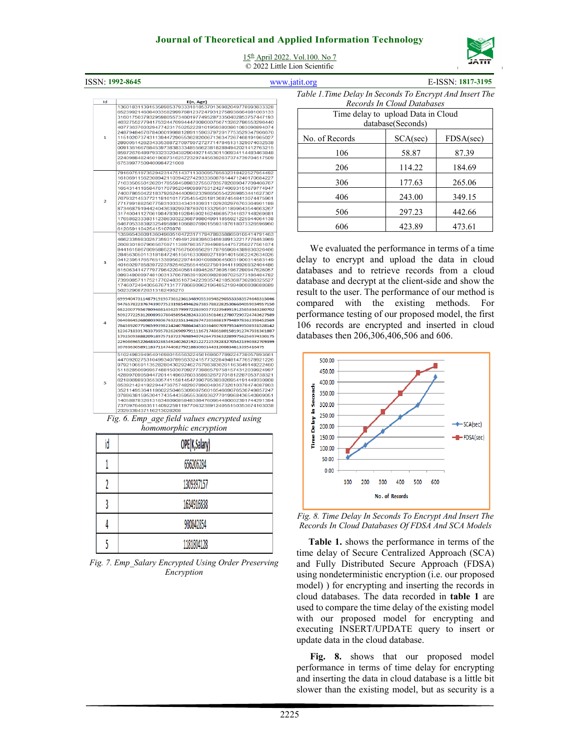

15th April 2022. Vol.100. No 7

© 2022 Little Lion Scientific

ISSN: **1992-8645** www.jatit.org E-ISSN: **1817-3195**

*Table 1.Time Delay In Seconds To Encrypt And Insert The* 

| ıd             | E(n, Age)                                                                                                                                                                                                                                                                                                                                                                                                                                                                                                                                                                                                                                                                             |  |  |  |  |
|----------------|---------------------------------------------------------------------------------------------------------------------------------------------------------------------------------------------------------------------------------------------------------------------------------------------------------------------------------------------------------------------------------------------------------------------------------------------------------------------------------------------------------------------------------------------------------------------------------------------------------------------------------------------------------------------------------------|--|--|--|--|
| 1              | 136018311391535898537933318185370136982049778993833328<br>652399214608403358299976812372479312758936664981003133<br>316017503793295980557346019774952873350402853757447193<br>463275527794175324476994447008000756713262786553296440<br>407736376032947742317502522281019593803861083096894074<br>248794846767840601998812891159037972017753529347906670<br>115102073743113944729055362820067136347267468191965027<br>289005142623433538872709799727277147845131329074032538<br>009136166768453973838333485566238182884942021412763215<br>859726704897933233204382904927145301106934114483463848<br>224098848245019087316257232974456392637374739704517509<br>67539977509400984721008 |  |  |  |  |
| $\overline{a}$ | 791607519735294231475143711303095785632318422527954492<br>161069115623089421103942274293336087614471240170684227<br>716335055012620178559458983275507035782089047709406767<br>165431411658476170795204909897531242740693151679774947<br>740078650422183792624440090233986505542269853441627307<br>767932145377211816161772545542518136874548413074475961<br>771789188256775831033343431039311029262976763364901188<br>873468791944240436392997878070133295011899643544663267<br>317400411270619847839192845902162486857341637148269681<br>176586233383112386303223687988049911855921225944064138<br>646705338392325495886106680769015593187618073326596960<br>6120591104254151076976  |  |  |  |  |
| 3              | 135965436091360496051047231717947893588650105414791463<br>466233598302573593174949128839503459389132217776453969<br>260830180796656759711389786357394988544757250277561674<br>844161586766958852247567506656291787659084389836326466<br>284563050113181847245156163309892718914015662242634026<br>041239517657651338956229744001098806450031900314583149<br>401602978583972237825462555445027591044119926932404486<br>615063414777977964220405614894526736051967280947626057<br>089348009974810031376678639192609828087025273186484782<br>739908571175217702483516734223935742185368730286325527<br>174607249400567671317778669096219648521994800808688689<br>50232908726313182495270 |  |  |  |  |
|                | 69994047311487919195736123613489055309482905533583574648315046<br>94765782237674390775231985494626738578822825306604059034957150<br>68220077956780946814562579997226390577223949919125658943280702<br>50927722531200899378045895428243330350146127807290724743627589<br>06408645268080398067632235134626747205888197948978362398452569<br>78456920771965993982142407886434510364607097953499508931528142<br>12367183317633739578262690979111167174861801581912747931361887<br>17025093888209189757187237698940742647936322899756256974330175<br>22906696522648302385492402621921227225782832705421390382709399<br>3076963058911837114744082792188306014431200834613395416475          |  |  |  |  |
| 5              | 510249839495401698015556322456168607789224738057893661<br>447092027531049934078956332415773228494814776578921226<br>979210659113528280430292462767983830261163649148222460<br>511828506969574881503070927739865797581574312039924997<br>428997090594472014149607603359932672701812287053738321<br>621806989335530574115814547390785383026954191449330808<br>653921424192294473675748290789004935732610378474087803<br>352114953641186022504653096075601654669076536749857247<br>078863815953041743544359555366936277019968436540809051<br>140588783261316348090858483084760954480002391744291394<br>737097646635114092259119770632389124055150353674103038<br>2329339437116213028208  |  |  |  |  |
|                | Fig. 6. Emp_age field values encrypted using                                                                                                                                                                                                                                                                                                                                                                                                                                                                                                                                                                                                                                          |  |  |  |  |
|                | homomorphic encryption                                                                                                                                                                                                                                                                                                                                                                                                                                                                                                                                                                                                                                                                |  |  |  |  |

| id | OPE(K,Salary) |
|----|---------------|
|    | 656206284     |
|    | 1309397157    |
|    | 1634916838    |
|    | 980842854     |
|    | 1181804128    |

*Fig. 7. Emp\_Salary Encrypted Using Order Preserving Encryption* 

| Records In Cloud Databases         |                   |           |  |  |  |  |
|------------------------------------|-------------------|-----------|--|--|--|--|
| Time delay to upload Data in Cloud |                   |           |  |  |  |  |
|                                    | database(Seconds) |           |  |  |  |  |
| No. of Records                     | SCA(sec)          | FDSA(sec) |  |  |  |  |
| 106                                | 58.87             | 87.39     |  |  |  |  |
| 206                                | 114.22            | 184.69    |  |  |  |  |
| 306                                | 177.63            | 265.06    |  |  |  |  |
| 406                                | 243.00            | 349.15    |  |  |  |  |
| 506                                | 297.23            | 442.66    |  |  |  |  |
| 606                                | 423.89            | 473.61    |  |  |  |  |

We evaluated the performance in terms of a time delay to encrypt and upload the data in cloud databases and to retrieve records from a cloud database and decrypt at the client-side and show the result to the user. The performance of our method is compared with the existing methods. For performance testing of our proposed model, the first 106 records are encrypted and inserted in cloud databases then 206,306,406,506 and 606.



*Fig. 8. Time Delay In Seconds To Encrypt And Insert The Records In Cloud Databases Of FDSA And SCA Models* 

**Table 1.** shows the performance in terms of the time delay of Secure Centralized Approach (SCA) and Fully Distributed Secure Approach (FDSA) using nondeterministic encryption (i.e. our proposed model) ) for encrypting and inserting the records in cloud databases. The data recorded in **table 1** are used to compare the time delay of the existing model with our proposed model for encrypting and executing INSERT/UPDATE query to insert or update data in the cloud database.

**Fig. 8.** shows that our proposed model performance in terms of time delay for encrypting and inserting the data in cloud database is a little bit slower than the existing model, but as security is a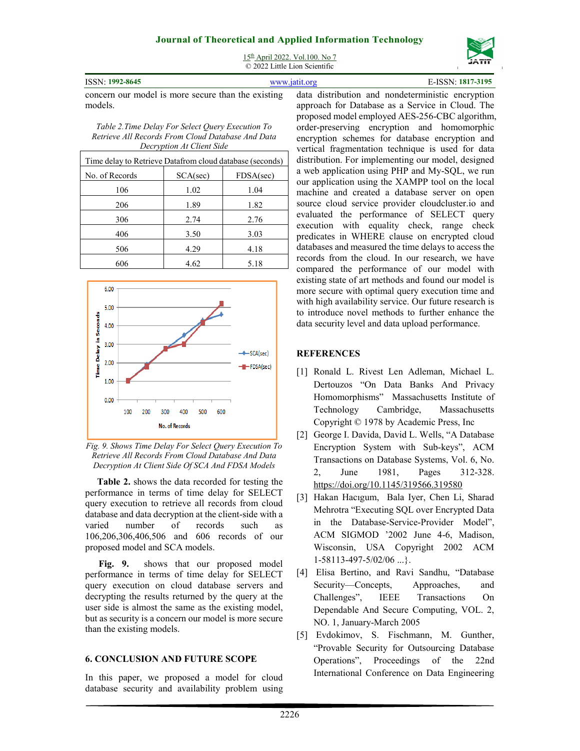

15<sup>th</sup> April 2022. Vol.100. No 7 © 2022 Little Lion Scientific

| ISSN: 1992-8645 | www.jatit.org | E-ISSN: 1817-3195 |
|-----------------|---------------|-------------------|

concern our model is more secure than the existing models.

*Table 2.Time Delay For Select Query Execution To Retrieve All Records From Cloud Database And Data Decryption At Client Side* 

| Time delay to Retrieve Datafrom cloud database (seconds) |          |           |
|----------------------------------------------------------|----------|-----------|
| No. of Records                                           | SCA(sec) | FDSA(sec) |
| 106                                                      | 1.02     | 1.04      |
| 206                                                      | 1.89     | 1.82      |
| 306                                                      | 2.74     | 2.76      |
| 406                                                      | 3.50     | 3.03      |
| 506                                                      | 4.29     | 4.18      |
| 606                                                      | 4.62     | 5.18      |



*Fig. 9. Shows Time Delay For Select Query Execution To Retrieve All Records From Cloud Database And Data Decryption At Client Side Of SCA And FDSA Models* 

**Table 2.** shows the data recorded for testing the performance in terms of time delay for SELECT query execution to retrieve all records from cloud database and data decryption at the client-side with a varied number of records such as 106,206,306,406,506 and 606 records of our proposed model and SCA models.

**Fig. 9.** shows that our proposed model performance in terms of time delay for SELECT query execution on cloud database servers and decrypting the results returned by the query at the user side is almost the same as the existing model, but as security is a concern our model is more secure than the existing models.

### **6. CONCLUSION AND FUTURE SCOPE**

In this paper, we proposed a model for cloud database security and availability problem using data distribution and nondeterministic encryption approach for Database as a Service in Cloud. The proposed model employed AES-256-CBC algorithm, order-preserving encryption and homomorphic encryption schemes for database encryption and vertical fragmentation technique is used for data distribution. For implementing our model, designed a web application using PHP and My-SQL, we run our application using the XAMPP tool on the local machine and created a database server on open source cloud service provider cloudcluster.io and evaluated the performance of SELECT query execution with equality check, range check predicates in WHERE clause on encrypted cloud databases and measured the time delays to access the records from the cloud. In our research, we have compared the performance of our model with existing state of art methods and found our model is more secure with optimal query execution time and with high availability service. Our future research is to introduce novel methods to further enhance the data security level and data upload performance.

### **REFERENCES**

- [1] Ronald L. Rivest Len Adleman, Michael L. Dertouzos "On Data Banks And Privacy Homomorphisms" Massachusetts Institute of Technology Cambridge, Massachusetts Copyright © 1978 by Academic Press, Inc
- [2] George I. Davida, David L. Wells, "A Database Encryption System with Sub-keys", ACM Transactions on Database Systems, Vol. 6, No. 2, June 1981, Pages 312-328. https://doi.org/10.1145/319566.319580
- [3] Hakan Hacıgum, Bala Iyer, Chen Li, Sharad Mehrotra "Executing SQL over Encrypted Data in the Database-Service-Provider Model", ACM SIGMOD '2002 June 4-6, Madison, Wisconsin, USA Copyright 2002 ACM 1-58113-497-5/02/06 ...}.
- [4] Elisa Bertino, and Ravi Sandhu, "Database Security—Concepts, Approaches, and Challenges", IEEE Transactions On Dependable And Secure Computing, VOL. 2, NO. 1, January-March 2005
- [5] Evdokimov, S. Fischmann, M. Gunther, "Provable Security for Outsourcing Database Operations", Proceedings of the 22nd International Conference on Data Engineering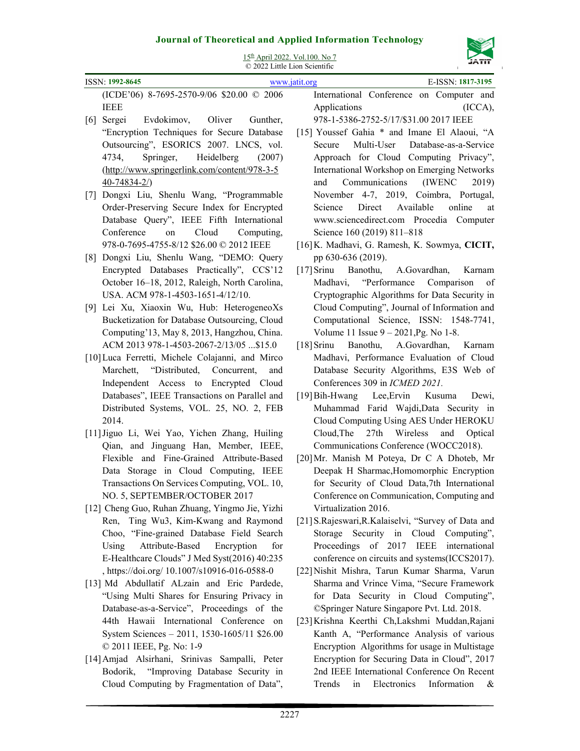

| 15th April 2022. Vol. 100. No 7<br>© 2022 Little Lion Scientific |                                                     |  |
|------------------------------------------------------------------|-----------------------------------------------------|--|
| ISSN: 1992-8645<br>E-ISSN: 1817-3195<br>www.jatit.org            |                                                     |  |
| (ICDE'06) 8-7695-2570-9/06 \$20.00 © 2006                        | International Conference on Computer and            |  |
| <b>IEEE</b>                                                      | Applications<br>(ICCA),                             |  |
| [6]<br>Evdokimov,<br>Oliver<br>Sergei<br>Gunther,                | 978-1-5386-2752-5/17/\$31.00 2017 IEEE              |  |
| "Encryption Techniques for Secure Database                       | [15] Youssef Gahia * and Imane El Alaoui, "A        |  |
| Outsourcing", ESORICS 2007. LNCS, vol.                           | Database-as-a-Service<br>Secure<br>Multi-User       |  |
| Springer,<br>Heidelberg<br>4734,<br>(2007)                       | Approach for Cloud Computing Privacy",              |  |
| (http://www.springerlink.com/content/978-3-5                     | International Workshop on Emerging Networks         |  |
| $40 - 74834 - 2/$                                                | Communications<br>(IWENC)<br>2019)<br>and           |  |
| Dongxi Liu, Shenlu Wang, "Programmable<br>[7]                    | November 4-7, 2019, Coimbra, Portugal,              |  |
| Order-Preserving Secure Index for Encrypted                      | Direct<br>Available<br>online<br>Science<br>at      |  |
| Database Query", IEEE Fifth International                        | www.sciencedirect.com Procedia Computer             |  |
| Conference<br>Cloud<br>on<br>Computing,                          | Science 160 (2019) 811-818                          |  |
| 978-0-7695-4755-8/12 \$26.00 @ 2012 IEEE                         | [16] K. Madhavi, G. Ramesh, K. Sowmya, CICIT,       |  |
| Dongxi Liu, Shenlu Wang, "DEMO: Query<br>[8]                     | pp 630-636 (2019).                                  |  |
| Encrypted Databases Practically", CCS'12                         | $[17]$ Srinu<br>Banothu,<br>A.Govardhan,<br>Karnam  |  |
| October 16-18, 2012, Raleigh, North Carolina,                    | Madhavi, "Performance Comparison<br>of              |  |
| USA. ACM 978-1-4503-1651-4/12/10.                                | Cryptographic Algorithms for Data Security in       |  |
| [9] Lei Xu, Xiaoxin Wu, Hub: HeterogeneoXs                       | Cloud Computing", Journal of Information and        |  |
| Bucketization for Database Outsourcing, Cloud                    | Computational Science, ISSN: 1548-7741,             |  |
| Computing'13, May 8, 2013, Hangzhou, China.                      | Volume 11 Issue $9 - 2021$ , Pg. No 1-8.            |  |
| ACM 2013 978-1-4503-2067-2/13/05  \$15.0                         | $[18]$ Srinu<br>Banothu, A.Govardhan,<br>Karnam     |  |
| [10] Luca Ferretti, Michele Colajanni, and Mirco                 | Madhavi, Performance Evaluation of Cloud            |  |
| Marchett, "Distributed, Concurrent,<br>and                       | Database Security Algorithms, E3S Web of            |  |
| Independent Access to Encrypted Cloud                            | Conferences 309 in ICMED 2021.                      |  |
| Databases", IEEE Transactions on Parallel and                    | [19] Bih-Hwang<br>Lee, Ervin<br>Kusuma<br>Dewi.     |  |
| Distributed Systems, VOL. 25, NO. 2, FEB                         | Muhammad Farid Wajdi, Data Security in              |  |
| 2014.                                                            | Cloud Computing Using AES Under HEROKU              |  |
| [11] Jiguo Li, Wei Yao, Yichen Zhang, Huiling                    | Cloud, The<br>27th<br>Wireless<br>and<br>Optical    |  |
| Qian, and Jinguang Han, Member, IEEE,                            | Communications Conference (WOCC2018).               |  |
| Flexible and Fine-Grained Attribute-Based                        | [20] Mr. Manish M Poteya, Dr C A Dhoteb, Mr         |  |
| Data Storage in Cloud Computing, IEEE                            | Deepak H Sharmac, Homomorphic Encryption            |  |
| Transactions On Services Computing, VOL. 10,                     | for Security of Cloud Data,7th International        |  |
| NO. 5, SEPTEMBER/OCTOBER 2017                                    | Conference on Communication, Computing and          |  |
| [12] Cheng Guo, Ruhan Zhuang, Yingmo Jie, Yizhi                  | Virtualization 2016.                                |  |
| Ren, Ting Wu3, Kim-Kwang and Raymond                             | [21] S.Rajeswari, R.Kalaiselvi, "Survey of Data and |  |
| Choo, "Fine-grained Database Field Search                        | Security in Cloud Computing",<br>Storage            |  |
| Attribute-Based Encryption<br>Using<br>for                       | Proceedings of 2017 IEEE<br>international           |  |
| E-Healthcare Clouds" J Med Syst(2016) 40:235                     | conference on circuits and systems(ICCS2017).       |  |
| , https://doi.org/ 10.1007/s10916-016-0588-0                     | [22] Nishit Mishra, Tarun Kumar Sharma, Varun       |  |
| [13] Md Abdullatif ALzain and Eric Pardede,                      | Sharma and Vrince Vima, "Secure Framework           |  |
| "Using Multi Shares for Ensuring Privacy in                      | for Data Security in Cloud Computing",              |  |
| Database-as-a-Service", Proceedings of the                       | ©Springer Nature Singapore Pvt. Ltd. 2018.          |  |
| 44th Hawaii International Conference on                          | [23] Krishna Keerthi Ch, Lakshmi Muddan, Rajani     |  |
| System Sciences - 2011, 1530-1605/11 \$26.00                     | Kanth A, "Performance Analysis of various           |  |
| © 2011 IEEE, Pg. No: 1-9                                         | Encryption Algorithms for usage in Multistage       |  |
| [14] Amjad Alsirhani, Srinivas Sampalli, Peter                   | Encryption for Securing Data in Cloud", 2017        |  |

[14]Amjad Alsirhani, Srinivas Sampalli, Peter Bodorik, "Improving Database Security in Cloud Computing by Fragmentation of Data",

2nd IEEE International Conference On Recent Trends in Electronics Information &